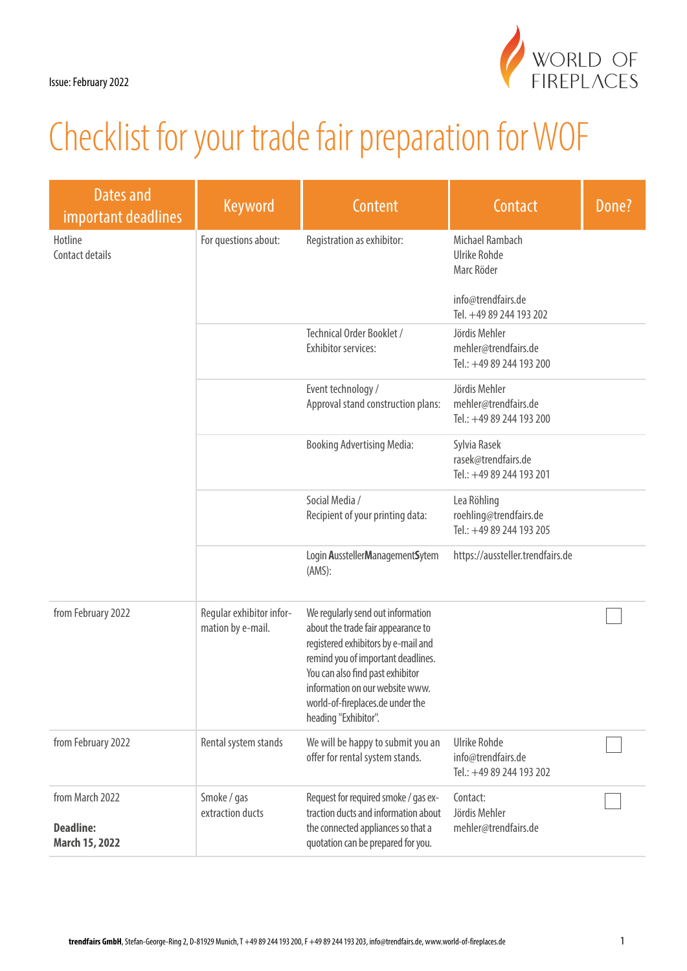

| Dates and<br>important deadlines                      | <b>Keyword</b>                                | Content                                                                                                                                                                                                                                                                                 | Contact                                                           | Done? |
|-------------------------------------------------------|-----------------------------------------------|-----------------------------------------------------------------------------------------------------------------------------------------------------------------------------------------------------------------------------------------------------------------------------------------|-------------------------------------------------------------------|-------|
| Hotline<br>Contact details                            | For questions about:                          | Registration as exhibitor:                                                                                                                                                                                                                                                              | Michael Rambach<br><b>Ulrike Rohde</b><br>Marc Röder              |       |
|                                                       |                                               |                                                                                                                                                                                                                                                                                         | info@trendfairs.de<br>Tel. +49 89 244 193 202                     |       |
|                                                       |                                               | Technical Order Booklet /<br><b>Exhibitor services:</b>                                                                                                                                                                                                                                 | Jördis Mehler<br>mehler@trendfairs.de<br>Tel.: +49 89 244 193 200 |       |
|                                                       |                                               | Event technology /<br>Approval stand construction plans:                                                                                                                                                                                                                                | Jördis Mehler<br>mehler@trendfairs.de<br>Tel.: +49 89 244 193 200 |       |
|                                                       |                                               | <b>Booking Advertising Media:</b>                                                                                                                                                                                                                                                       | Sylvia Rasek<br>rasek@trendfairs.de<br>Tel.: +49 89 244 193 201   |       |
|                                                       |                                               | Social Media /<br>Recipient of your printing data:                                                                                                                                                                                                                                      | Lea Röhling<br>roehling@trendfairs.de<br>Tel.: +49 89 244 193 205 |       |
|                                                       |                                               | Login AusstellerManagementSytem<br>(AMS):                                                                                                                                                                                                                                               | https://aussteller.trendfairs.de                                  |       |
| from February 2022                                    | Regular exhibitor infor-<br>mation by e-mail. | We regularly send out information<br>about the trade fair appearance to<br>registered exhibitors by e-mail and<br>remind you of important deadlines.<br>You can also find past exhibitor<br>information on our website www.<br>world-of-fireplaces.de under the<br>heading "Exhibitor". |                                                                   |       |
| from February 2022                                    | Rental system stands                          | We will be happy to submit you an<br>offer for rental system stands.                                                                                                                                                                                                                    | Ulrike Rohde<br>info@trendfairs.de<br>Tel.: +49 89 244 193 202    |       |
| from March 2022<br><b>Deadline:</b><br>March 15, 2022 | Smoke / gas<br>extraction ducts               | Request for required smoke / gas ex-<br>traction ducts and information about<br>the connected appliances so that a<br>quotation can be prepared for you.                                                                                                                                | Contact:<br>Jördis Mehler<br>mehler@trendfairs.de                 |       |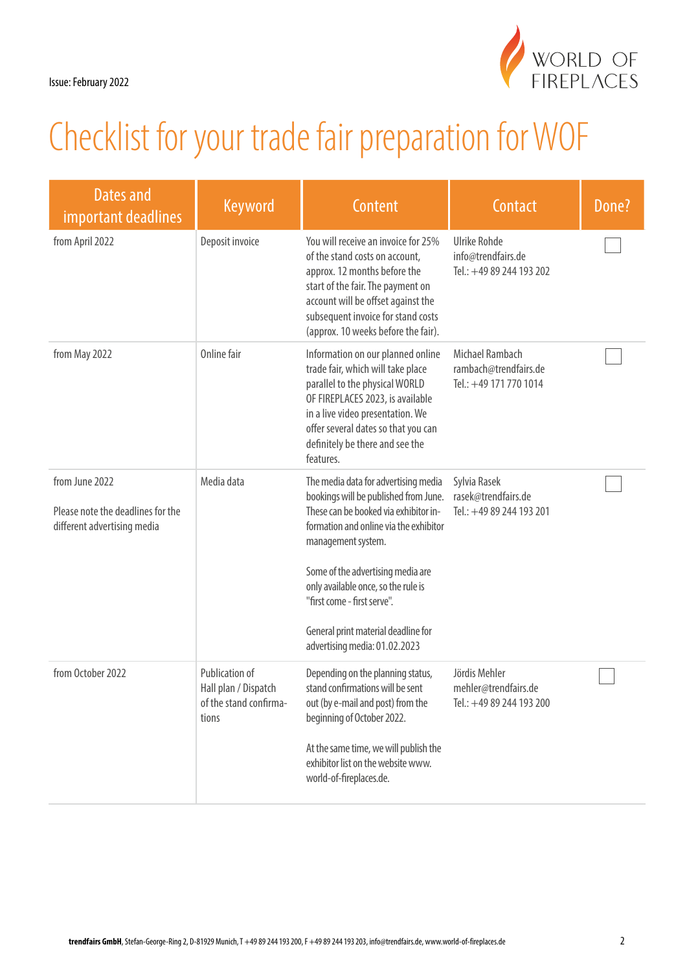

| Dates and<br>important deadlines                                                   | Keyword                                                                   | Content                                                                                                                                                                                                                                                                                                                                                                   | Contact                                                            | Done? |
|------------------------------------------------------------------------------------|---------------------------------------------------------------------------|---------------------------------------------------------------------------------------------------------------------------------------------------------------------------------------------------------------------------------------------------------------------------------------------------------------------------------------------------------------------------|--------------------------------------------------------------------|-------|
| from April 2022                                                                    | Deposit invoice                                                           | You will receive an invoice for 25%<br>of the stand costs on account,<br>approx. 12 months before the<br>start of the fair. The payment on<br>account will be offset against the<br>subsequent invoice for stand costs<br>(approx. 10 weeks before the fair).                                                                                                             | Ulrike Rohde<br>info@trendfairs.de<br>Tel.: +49 89 244 193 202     |       |
| from May 2022                                                                      | Online fair                                                               | Information on our planned online<br>trade fair, which will take place<br>parallel to the physical WORLD<br>OF FIREPLACES 2023, is available<br>in a live video presentation. We<br>offer several dates so that you can<br>definitely be there and see the<br>features.                                                                                                   | Michael Rambach<br>rambach@trendfairs.de<br>Tel.: +49 171 770 1014 |       |
| from June 2022<br>Please note the deadlines for the<br>different advertising media | Media data                                                                | The media data for advertising media<br>bookings will be published from June.<br>These can be booked via exhibitor in-<br>formation and online via the exhibitor<br>management system.<br>Some of the advertising media are<br>only available once, so the rule is<br>"first come - first serve".<br>General print material deadline for<br>advertising media: 01.02.2023 | Sylvia Rasek<br>rasek@trendfairs.de<br>Tel.: +49 89 244 193 201    |       |
| from October 2022                                                                  | Publication of<br>Hall plan / Dispatch<br>of the stand confirma-<br>tions | Depending on the planning status,<br>stand confirmations will be sent<br>out (by e-mail and post) from the<br>beginning of October 2022.<br>At the same time, we will publish the<br>exhibitor list on the website www.<br>world-of-fireplaces.de.                                                                                                                        | Jördis Mehler<br>mehler@trendfairs.de<br>Tel.: +49 89 244 193 200  |       |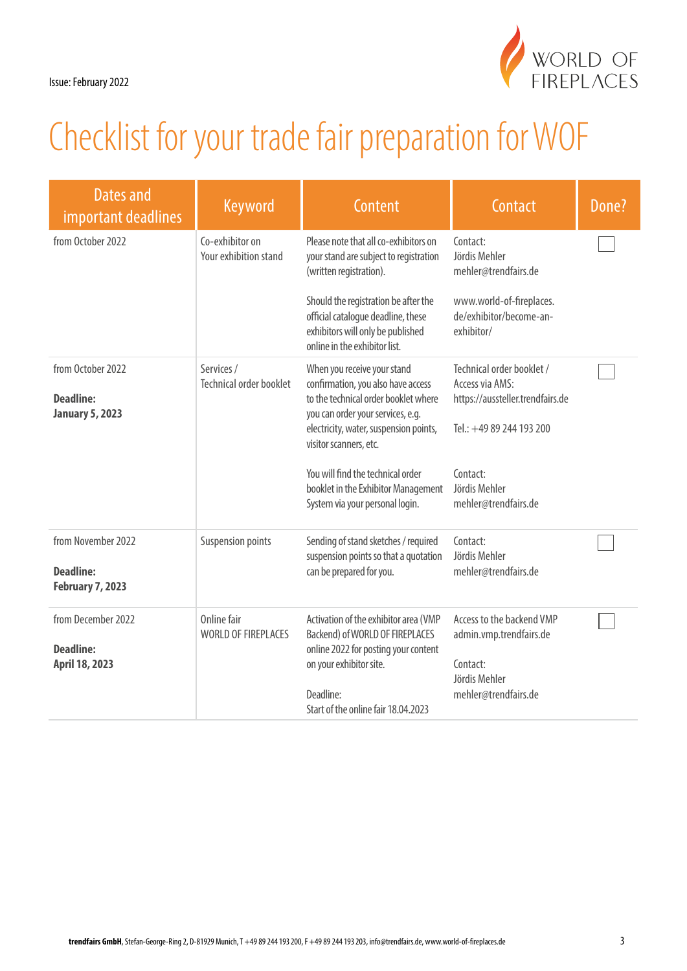| Dates and<br>important deadlines                                  | <b>Keyword</b>                               | Content                                                                                                                                          | Contact                                                                          | Done? |
|-------------------------------------------------------------------|----------------------------------------------|--------------------------------------------------------------------------------------------------------------------------------------------------|----------------------------------------------------------------------------------|-------|
| from October 2022                                                 | Co-exhibitor on<br>Your exhibition stand     | Please note that all co-exhibitors on<br>your stand are subject to registration<br>(written registration).                                       | Contact:<br>Jördis Mehler<br>mehler@trendfairs.de                                |       |
|                                                                   |                                              | Should the registration be after the<br>official catalogue deadline, these<br>exhibitors will only be published<br>online in the exhibitor list. | www.world-of-fireplaces.<br>de/exhibitor/become-an-<br>exhibitor/                |       |
| from October 2022<br><b>Deadline:</b><br><b>January 5, 2023</b>   | Services /<br><b>Technical order booklet</b> | When you receive your stand<br>confirmation, you also have access<br>to the technical order booklet where<br>you can order your services, e.g.   | Technical order booklet /<br>Access via AMS:<br>https://aussteller.trendfairs.de |       |
|                                                                   |                                              | electricity, water, suspension points,<br>visitor scanners, etc.<br>You will find the technical order                                            | Tel.: +49 89 244 193 200<br>Contact:                                             |       |
|                                                                   |                                              | booklet in the Exhibitor Management<br>System via your personal login.                                                                           | Jördis Mehler<br>mehler@trendfairs.de                                            |       |
| from November 2022<br><b>Deadline:</b><br><b>February 7, 2023</b> | <b>Suspension points</b>                     | Sending of stand sketches / required<br>suspension points so that a quotation<br>can be prepared for you.                                        | Contact:<br>Jördis Mehler<br>mehler@trendfairs.de                                |       |
| from December 2022<br><b>Deadline:</b>                            | Online fair<br><b>WORLD OF FIREPLACES</b>    | Activation of the exhibitor area (VMP<br>Backend) of WORLD OF FIREPLACES<br>online 2022 for posting your content                                 | Access to the backend VMP<br>admin.vmp.trendfairs.de                             |       |
| April 18, 2023                                                    |                                              | on your exhibitor site.<br>Deadline:                                                                                                             | Contact:<br>Jördis Mehler<br>mehler@trendfairs.de                                |       |
|                                                                   |                                              | Start of the online fair 18.04.2023                                                                                                              |                                                                                  |       |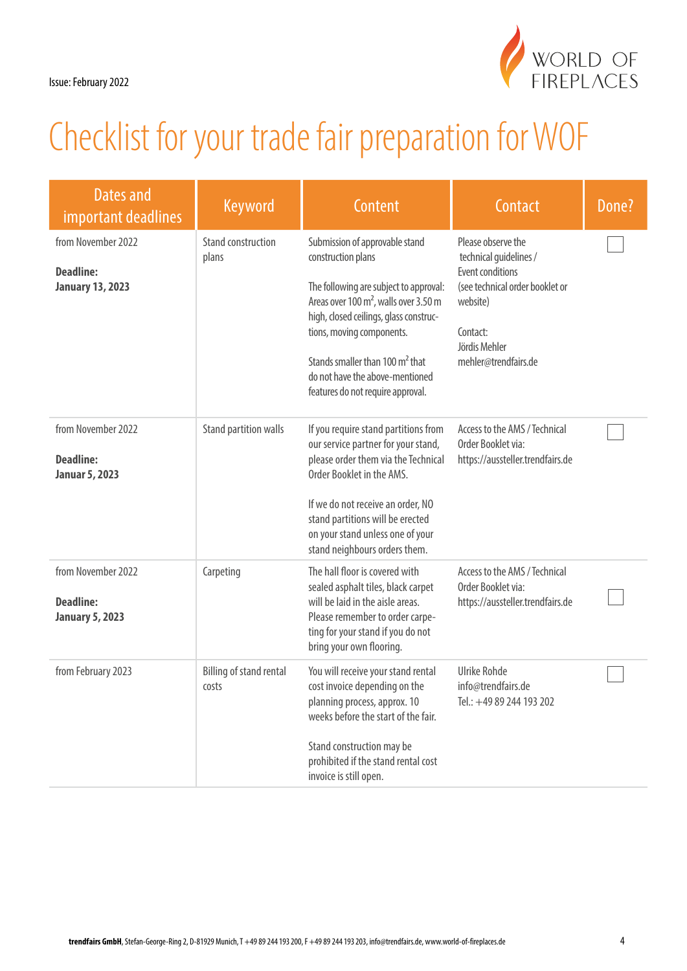

| <b>Dates and</b><br>important deadlines                           | <b>Keyword</b>                          | <b>Content</b>                                                                                                                                                                                                                                                                                                                           | Contact                                                                                                                                                                     | Done? |
|-------------------------------------------------------------------|-----------------------------------------|------------------------------------------------------------------------------------------------------------------------------------------------------------------------------------------------------------------------------------------------------------------------------------------------------------------------------------------|-----------------------------------------------------------------------------------------------------------------------------------------------------------------------------|-------|
| from November 2022<br><b>Deadline:</b><br><b>January 13, 2023</b> | Stand construction<br>plans             | Submission of approvable stand<br>construction plans<br>The following are subject to approval:<br>Areas over 100 $m^2$ , walls over 3.50 m<br>high, closed ceilings, glass construc-<br>tions, moving components.<br>Stands smaller than 100 m <sup>2</sup> that<br>do not have the above-mentioned<br>features do not require approval. | Please observe the<br>technical guidelines /<br><b>Event conditions</b><br>(see technical order booklet or<br>website)<br>Contact:<br>Jördis Mehler<br>mehler@trendfairs.de |       |
| from November 2022<br><b>Deadline:</b><br><b>Januar 5, 2023</b>   | Stand partition walls                   | If you require stand partitions from<br>our service partner for your stand,<br>please order them via the Technical<br>Order Booklet in the AMS.<br>If we do not receive an order, NO<br>stand partitions will be erected<br>on your stand unless one of your<br>stand neighbours orders them.                                            | Access to the AMS / Technical<br>Order Booklet via:<br>https://aussteller.trendfairs.de                                                                                     |       |
| from November 2022<br><b>Deadline:</b><br><b>January 5, 2023</b>  | Carpeting                               | The hall floor is covered with<br>sealed asphalt tiles, black carpet<br>will be laid in the aisle areas.<br>Please remember to order carpe-<br>ting for your stand if you do not<br>bring your own flooring.                                                                                                                             | Access to the AMS / Technical<br>Order Booklet via:<br>https://aussteller.trendfairs.de                                                                                     |       |
| from February 2023                                                | <b>Billing of stand rental</b><br>costs | You will receive your stand rental<br>cost invoice depending on the<br>planning process, approx. 10<br>weeks before the start of the fair.<br>Stand construction may be<br>prohibited if the stand rental cost<br>invoice is still open.                                                                                                 | <b>Ulrike Rohde</b><br>info@trendfairs.de<br>Tel.: +49 89 244 193 202                                                                                                       |       |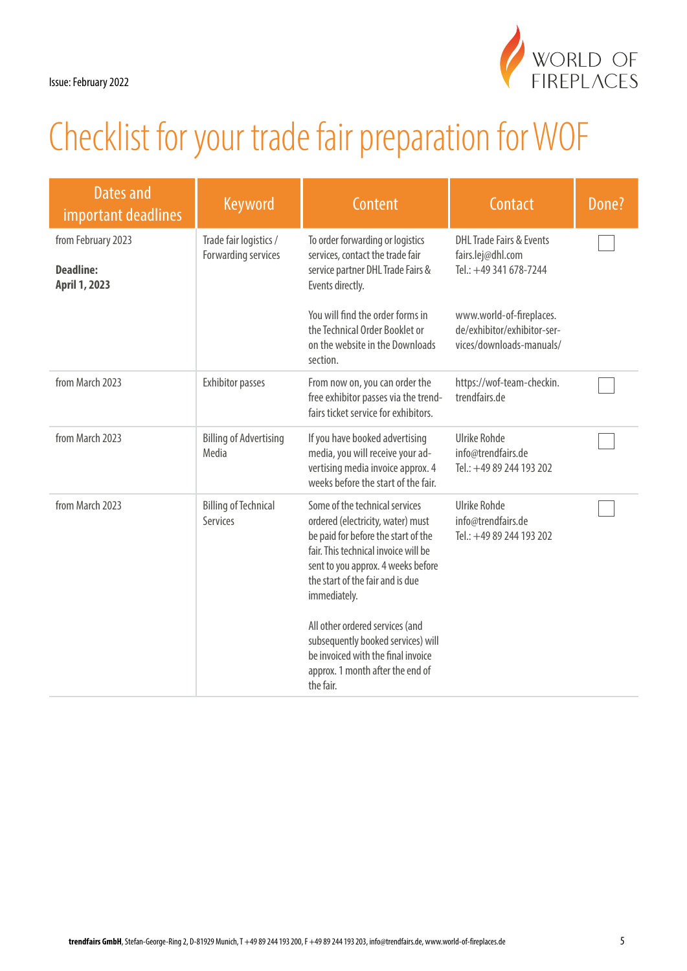

| Dates and<br>important deadlines                        | Keyword                                       | Content                                                                                                                                                                                                                                                                                                                                                                                                      | Contact                                                                             | Done? |
|---------------------------------------------------------|-----------------------------------------------|--------------------------------------------------------------------------------------------------------------------------------------------------------------------------------------------------------------------------------------------------------------------------------------------------------------------------------------------------------------------------------------------------------------|-------------------------------------------------------------------------------------|-------|
| from February 2023<br><b>Deadline:</b><br>April 1, 2023 | Trade fair logistics /<br>Forwarding services | To order forwarding or logistics<br>services, contact the trade fair<br>service partner DHL Trade Fairs &<br>Events directly.                                                                                                                                                                                                                                                                                | <b>DHL Trade Fairs &amp; Events</b><br>fairs.lej@dhl.com<br>Tel.: +49 341 678-7244  |       |
|                                                         |                                               | You will find the order forms in<br>the Technical Order Booklet or<br>on the website in the Downloads<br>section.                                                                                                                                                                                                                                                                                            | www.world-of-fireplaces.<br>de/exhibitor/exhibitor-ser-<br>vices/downloads-manuals/ |       |
| from March 2023                                         | <b>Exhibitor passes</b>                       | From now on, you can order the<br>free exhibitor passes via the trend-<br>fairs ticket service for exhibitors.                                                                                                                                                                                                                                                                                               | https://wof-team-checkin.<br>trendfairs.de                                          |       |
| from March 2023                                         | <b>Billing of Advertising</b><br>Media        | If you have booked advertising<br>media, you will receive your ad-<br>vertising media invoice approx. 4<br>weeks before the start of the fair.                                                                                                                                                                                                                                                               | <b>Ulrike Rohde</b><br>info@trendfairs.de<br>Tel.: +49 89 244 193 202               |       |
| from March 2023                                         | <b>Billing of Technical</b><br>Services       | Some of the technical services<br>ordered (electricity, water) must<br>be paid for before the start of the<br>fair. This technical invoice will be<br>sent to you approx. 4 weeks before<br>the start of the fair and is due<br>immediately.<br>All other ordered services (and<br>subsequently booked services) will<br>be invoiced with the final invoice<br>approx. 1 month after the end of<br>the fair. | <b>Ulrike Rohde</b><br>info@trendfairs.de<br>Tel.: +49 89 244 193 202               |       |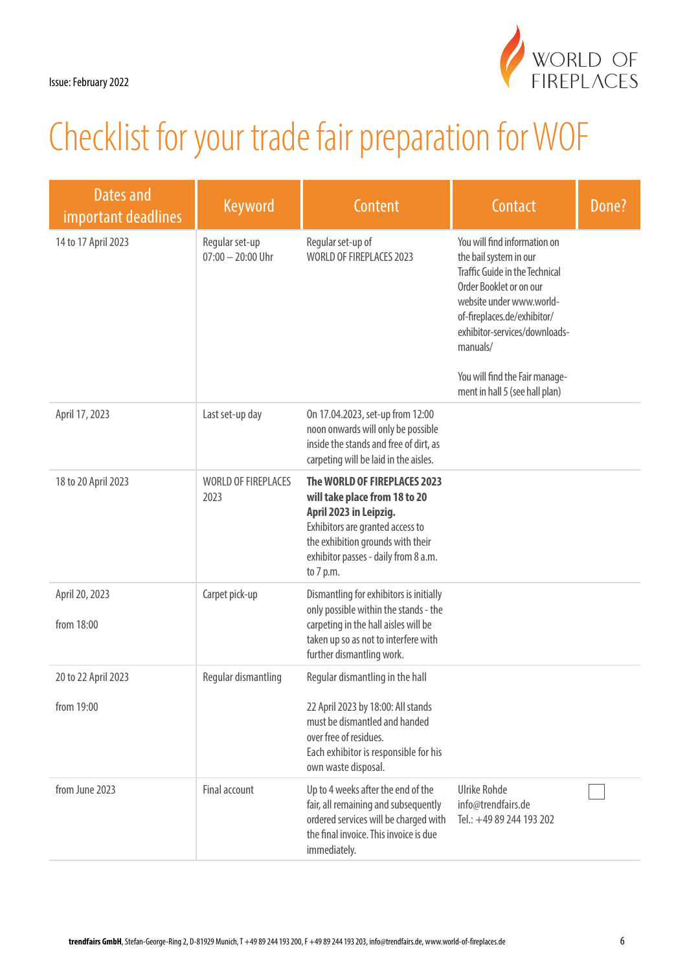

| Dates and<br>important deadlines | <b>Keyword</b>                        | <b>Content</b>                                                                                                                                                                                                        | Contact                                                                                                                                                                                                                                                                                                | Done? |
|----------------------------------|---------------------------------------|-----------------------------------------------------------------------------------------------------------------------------------------------------------------------------------------------------------------------|--------------------------------------------------------------------------------------------------------------------------------------------------------------------------------------------------------------------------------------------------------------------------------------------------------|-------|
| 14 to 17 April 2023              | Regular set-up<br>$07:00 - 20:00$ Uhr | Regular set-up of<br>WORLD OF FIREPLACES 2023                                                                                                                                                                         | You will find information on<br>the bail system in our<br><b>Traffic Guide in the Technical</b><br>Order Booklet or on our<br>website under www.world-<br>of-fireplaces.de/exhibitor/<br>exhibitor-services/downloads-<br>manuals/<br>You will find the Fair manage-<br>ment in hall 5 (see hall plan) |       |
| April 17, 2023                   | Last set-up day                       | On 17.04.2023, set-up from 12:00<br>noon onwards will only be possible<br>inside the stands and free of dirt, as<br>carpeting will be laid in the aisles.                                                             |                                                                                                                                                                                                                                                                                                        |       |
| 18 to 20 April 2023              | <b>WORLD OF FIREPLACES</b><br>2023    | The WORLD OF FIREPLACES 2023<br>will take place from 18 to 20<br>April 2023 in Leipzig.<br>Exhibitors are granted access to<br>the exhibition grounds with their<br>exhibitor passes - daily from 8 a.m.<br>to 7 p.m. |                                                                                                                                                                                                                                                                                                        |       |
| April 20, 2023<br>from 18:00     | Carpet pick-up                        | Dismantling for exhibitors is initially<br>only possible within the stands - the<br>carpeting in the hall aisles will be<br>taken up so as not to interfere with<br>further dismantling work.                         |                                                                                                                                                                                                                                                                                                        |       |
| 20 to 22 April 2023              | Regular dismantling                   | Regular dismantling in the hall                                                                                                                                                                                       |                                                                                                                                                                                                                                                                                                        |       |
| from 19:00                       |                                       | 22 April 2023 by 18:00: All stands<br>must be dismantled and handed<br>over free of residues.<br>Each exhibitor is responsible for his<br>own waste disposal.                                                         |                                                                                                                                                                                                                                                                                                        |       |
| from June 2023                   | Final account                         | Up to 4 weeks after the end of the<br>fair, all remaining and subsequently<br>ordered services will be charged with<br>the final invoice. This invoice is due<br>immediately.                                         | <b>Ulrike Rohde</b><br>info@trendfairs.de<br>Tel.: +49 89 244 193 202                                                                                                                                                                                                                                  |       |